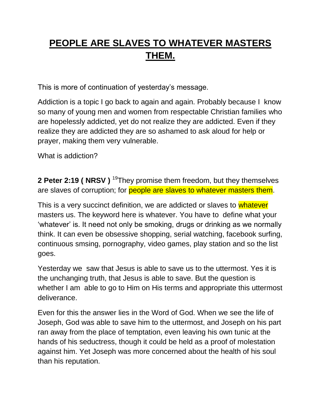## **PEOPLE ARE SLAVES TO WHATEVER MASTERS THEM.**

This is more of continuation of yesterday"s message.

Addiction is a topic I go back to again and again. Probably because I know so many of young men and women from respectable Christian families who are hopelessly addicted, yet do not realize they are addicted. Even if they realize they are addicted they are so ashamed to ask aloud for help or prayer, making them very vulnerable.

What is addiction?

**2 Peter 2:19 ( NRSV )** <sup>19</sup>They promise them freedom, but they themselves are slaves of corruption; for **people are slaves to whatever masters them**.

This is a very succinct definition, we are addicted or slaves to whatever masters us. The keyword here is whatever. You have to define what your "whatever" is. It need not only be smoking, drugs or drinking as we normally think. It can even be obsessive shopping, serial watching, facebook surfing, continuous smsing, pornography, video games, play station and so the list goes.

Yesterday we saw that Jesus is able to save us to the uttermost. Yes it is the unchanging truth, that Jesus is able to save. But the question is whether I am able to go to Him on His terms and appropriate this uttermost deliverance.

Even for this the answer lies in the Word of God. When we see the life of Joseph, God was able to save him to the uttermost, and Joseph on his part ran away from the place of temptation, even leaving his own tunic at the hands of his seductress, though it could be held as a proof of molestation against him. Yet Joseph was more concerned about the health of his soul than his reputation.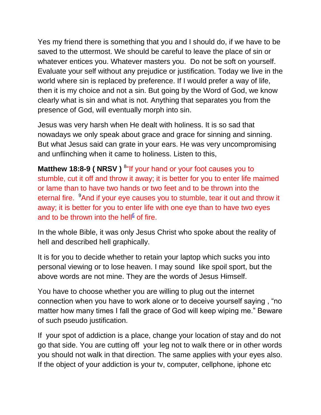Yes my friend there is something that you and I should do, if we have to be saved to the uttermost. We should be careful to leave the place of sin or whatever entices you. Whatever masters you. Do not be soft on yourself. Evaluate your self without any prejudice or justification. Today we live in the world where sin is replaced by preference. If I would prefer a way of life, then it is my choice and not a sin. But going by the Word of God, we know clearly what is sin and what is not. Anything that separates you from the presence of God, will eventually morph into sin.

Jesus was very harsh when He dealt with holiness. It is so sad that nowadays we only speak about grace and grace for sinning and sinning. But what Jesus said can grate in your ears. He was very uncompromising and unflinching when it came to holiness. Listen to this,

Matthew 18:8-9 ( NRSV ) <sup>8</sup>"If your hand or your foot causes you to stumble, cut it off and throw it away; it is better for you to enter life maimed or lame than to have two hands or two feet and to be thrown into the eternal fire. <sup>9</sup>And if your eye causes you to stumble, tear it out and throw it away; it is better for you to enter life with one eye than to have two eyes and to be thrown into the hell<sup>[£](qv://steplinkto1%200000038102/)</sup> of fire.

In the whole Bible, it was only Jesus Christ who spoke about the reality of hell and described hell graphically.

It is for you to decide whether to retain your laptop which sucks you into personal viewing or to lose heaven. I may sound like spoil sport, but the above words are not mine. They are the words of Jesus Himself.

You have to choose whether you are willing to plug out the internet connection when you have to work alone or to deceive yourself saying , "no matter how many times I fall the grace of God will keep wiping me." Beware of such pseudo justification.

If your spot of addiction is a place, change your location of stay and do not go that side. You are cutting off your leg not to walk there or in other words you should not walk in that direction. The same applies with your eyes also. If the object of your addiction is your tv, computer, cellphone, iphone etc